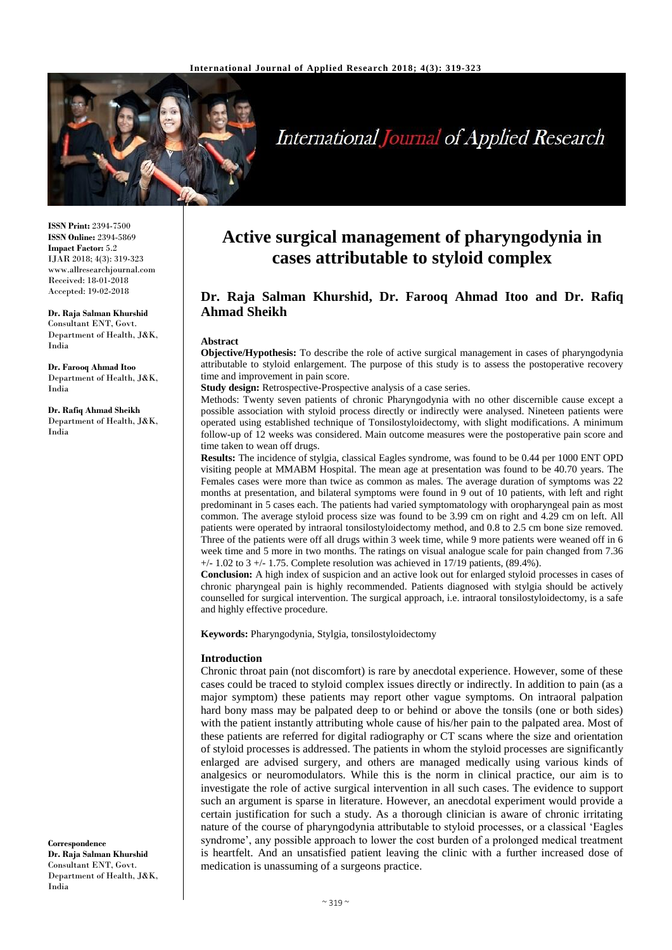

# **International Journal of Applied Research**

**ISSN Print:** 2394-7500 **ISSN Online:** 2394-5869 **Impact Factor:** 5.2 IJAR 2018; 4(3): 319-323 www.allresearchjournal.com Received: 18-01-2018 Accepted: 19-02-2018

**Dr. Raja Salman Khurshid** Consultant ENT, Govt. Department of Health, J&K, India

**Dr. Farooq Ahmad Itoo** Department of Health, J&K, India

**Dr. Rafiq Ahmad Sheikh** Department of Health, J&K, India

**Correspondence Dr. Raja Salman Khurshid** Consultant ENT, Govt. Department of Health, J&K, India

## **Active surgical management of pharyngodynia in cases attributable to styloid complex**

### **Dr. Raja Salman Khurshid, Dr. Farooq Ahmad Itoo and Dr. Rafiq Ahmad Sheikh**

#### **Abstract**

**Objective/Hypothesis:** To describe the role of active surgical management in cases of pharyngodynia attributable to styloid enlargement. The purpose of this study is to assess the postoperative recovery time and improvement in pain score.

**Study design:** Retrospective-Prospective analysis of a case series.

Methods: Twenty seven patients of chronic Pharyngodynia with no other discernible cause except a possible association with styloid process directly or indirectly were analysed. Nineteen patients were operated using established technique of Tonsilostyloidectomy, with slight modifications. A minimum follow-up of 12 weeks was considered. Main outcome measures were the postoperative pain score and time taken to wean off drugs.

**Results:** The incidence of stylgia, classical Eagles syndrome, was found to be 0.44 per 1000 ENT OPD visiting people at MMABM Hospital. The mean age at presentation was found to be 40.70 years. The Females cases were more than twice as common as males. The average duration of symptoms was 22 months at presentation, and bilateral symptoms were found in 9 out of 10 patients, with left and right predominant in 5 cases each. The patients had varied symptomatology with oropharyngeal pain as most common. The average styloid process size was found to be 3.99 cm on right and 4.29 cm on left. All patients were operated by intraoral tonsilostyloidectomy method, and 0.8 to 2.5 cm bone size removed. Three of the patients were off all drugs within 3 week time, while 9 more patients were weaned off in 6 week time and 5 more in two months. The ratings on visual analogue scale for pain changed from 7.36  $+/- 1.02$  to  $3 +/- 1.75$ . Complete resolution was achieved in 17/19 patients, (89.4%).

**Conclusion:** A high index of suspicion and an active look out for enlarged styloid processes in cases of chronic pharyngeal pain is highly recommended. Patients diagnosed with stylgia should be actively counselled for surgical intervention. The surgical approach, i.e. intraoral tonsilostyloidectomy, is a safe and highly effective procedure.

**Keywords:** Pharyngodynia, Stylgia, tonsilostyloidectomy

#### **Introduction**

Chronic throat pain (not discomfort) is rare by anecdotal experience. However, some of these cases could be traced to styloid complex issues directly or indirectly. In addition to pain (as a major symptom) these patients may report other vague symptoms. On intraoral palpation hard bony mass may be palpated deep to or behind or above the tonsils (one or both sides) with the patient instantly attributing whole cause of his/her pain to the palpated area. Most of these patients are referred for digital radiography or CT scans where the size and orientation of styloid processes is addressed. The patients in whom the styloid processes are significantly enlarged are advised surgery, and others are managed medically using various kinds of analgesics or neuromodulators. While this is the norm in clinical practice, our aim is to investigate the role of active surgical intervention in all such cases. The evidence to support such an argument is sparse in literature. However, an anecdotal experiment would provide a certain justification for such a study. As a thorough clinician is aware of chronic irritating nature of the course of pharyngodynia attributable to styloid processes, or a classical 'Eagles syndrome', any possible approach to lower the cost burden of a prolonged medical treatment is heartfelt. And an unsatisfied patient leaving the clinic with a further increased dose of medication is unassuming of a surgeons practice.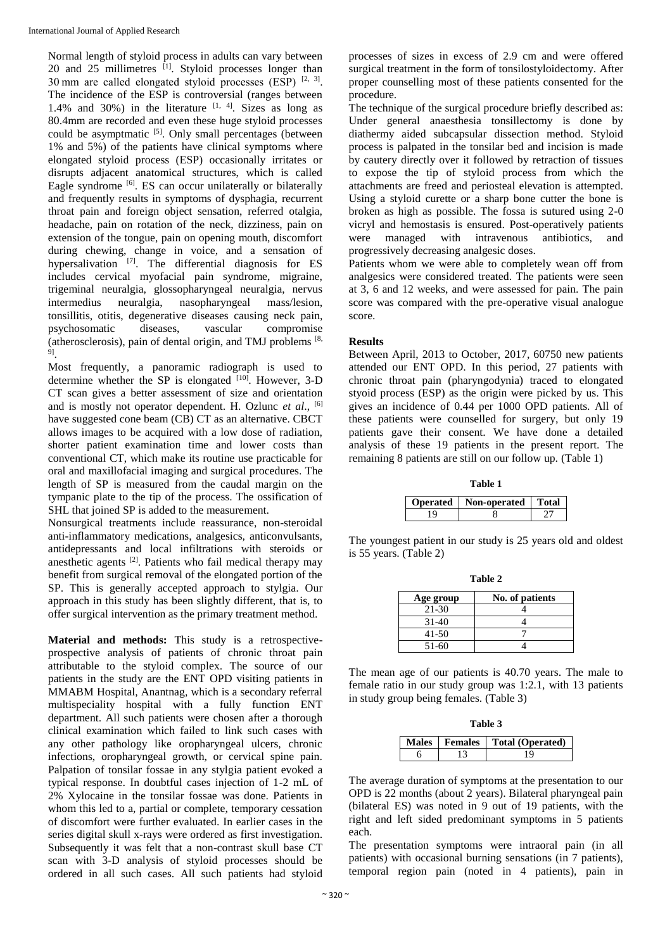Normal length of styloid process in adults can vary between 20 and  $25$  millimetres  $^{[1]}$ . Styloid processes longer than 30 mm are called elongated styloid processes (ESP)  $[2, 3]$ . The incidence of the ESP is controversial (ranges between 1.4% and 30%) in the literature  $[1, 4]$ . Sizes as long as 80.4mm are recorded and even these huge styloid processes could be asymptmatic <sup>[5]</sup>. Only small percentages (between 1% and 5%) of the patients have clinical symptoms where elongated styloid process (ESP) occasionally irritates or disrupts adjacent anatomical structures, which is called Eagle syndrome <sup>[6]</sup>. ES can occur unilaterally or bilaterally and frequently results in symptoms of dysphagia, recurrent throat pain and foreign object sensation, referred otalgia, headache, pain on rotation of the neck, dizziness, pain on extension of the tongue, pain on opening mouth, discomfort during chewing, change in voice, and a sensation of hypersalivation<sup>[7]</sup>. The differential diagnosis for ES includes cervical myofacial pain syndrome, migraine, trigeminal neuralgia, glossopharyngeal neuralgia, nervus intermedius neuralgia, nasopharyngeal mass/lesion, tonsillitis, otitis, degenerative diseases causing neck pain, psychosomatic diseases, vascular compromise (atherosclerosis), pain of dental origin, and TMJ problems [8, 9] .

Most frequently, a panoramic radiograph is used to determine whether the SP is elongated [10]. However, 3-D CT scan gives a better assessment of size and orientation and is mostly not operator dependent. H. Ozlunc *et al*., [6] have suggested cone beam (CB) CT as an alternative. CBCT allows images to be acquired with a low dose of radiation, shorter patient examination time and lower costs than conventional CT, which make its routine use practicable for oral and maxillofacial imaging and surgical procedures. The length of SP is measured from the caudal margin on the tympanic plate to the tip of the process. The ossification of SHL that joined SP is added to the measurement.

Nonsurgical treatments include reassurance, non-steroidal anti-inflammatory medications, analgesics, anticonvulsants, antidepressants and local infiltrations with steroids or anesthetic agents [2]. Patients who fail medical therapy may benefit from surgical removal of the elongated portion of the SP. This is generally accepted approach to stylgia. Our approach in this study has been slightly different, that is, to offer surgical intervention as the primary treatment method.

**Material and methods:** This study is a retrospectiveprospective analysis of patients of chronic throat pain attributable to the styloid complex. The source of our patients in the study are the ENT OPD visiting patients in MMABM Hospital, Anantnag, which is a secondary referral multispeciality hospital with a fully function ENT department. All such patients were chosen after a thorough clinical examination which failed to link such cases with any other pathology like oropharyngeal ulcers, chronic infections, oropharyngeal growth, or cervical spine pain. Palpation of tonsilar fossae in any stylgia patient evoked a typical response. In doubtful cases injection of 1-2 mL of 2% Xylocaine in the tonsilar fossae was done. Patients in whom this led to a, partial or complete, temporary cessation of discomfort were further evaluated. In earlier cases in the series digital skull x-rays were ordered as first investigation. Subsequently it was felt that a non-contrast skull base CT scan with 3-D analysis of styloid processes should be ordered in all such cases. All such patients had styloid

processes of sizes in excess of 2.9 cm and were offered surgical treatment in the form of tonsilostyloidectomy. After proper counselling most of these patients consented for the procedure.

The technique of the surgical procedure briefly described as: Under general anaesthesia tonsillectomy is done by diathermy aided subcapsular dissection method. Styloid process is palpated in the tonsilar bed and incision is made by cautery directly over it followed by retraction of tissues to expose the tip of styloid process from which the attachments are freed and periosteal elevation is attempted. Using a styloid curette or a sharp bone cutter the bone is broken as high as possible. The fossa is sutured using 2-0 vicryl and hemostasis is ensured. Post-operatively patients were managed with intravenous antibiotics, and progressively decreasing analgesic doses.

Patients whom we were able to completely wean off from analgesics were considered treated. The patients were seen at 3, 6 and 12 weeks, and were assessed for pain. The pain score was compared with the pre-operative visual analogue score.

#### **Results**

Between April, 2013 to October, 2017, 60750 new patients attended our ENT OPD. In this period, 27 patients with chronic throat pain (pharyngodynia) traced to elongated styoid process (ESP) as the origin were picked by us. This gives an incidence of 0.44 per 1000 OPD patients. All of these patients were counselled for surgery, but only 19 patients gave their consent. We have done a detailed analysis of these 19 patients in the present report. The remaining 8 patients are still on our follow up. (Table 1)

| Table 1 |                         |              |  |
|---------|-------------------------|--------------|--|
|         | Operated   Non-operated | <b>Total</b> |  |
| Q       |                         |              |  |

The youngest patient in our study is 25 years old and oldest is 55 years. (Table 2)

**Table 2**

| 1 U.J.V 21 |                 |  |  |
|------------|-----------------|--|--|
| Age group  | No. of patients |  |  |
| 21-30      |                 |  |  |
| $31-40$    |                 |  |  |
| 41-50      |                 |  |  |
| $51-60$    |                 |  |  |

The mean age of our patients is 40.70 years. The male to female ratio in our study group was 1:2.1, with 13 patients in study group being females. (Table 3)

| Table 3 |  |                                    |  |
|---------|--|------------------------------------|--|
|         |  | Males   Females   Total (Operated) |  |
|         |  | 19                                 |  |

The average duration of symptoms at the presentation to our OPD is 22 months (about 2 years). Bilateral pharyngeal pain (bilateral ES) was noted in 9 out of 19 patients, with the right and left sided predominant symptoms in 5 patients each.

The presentation symptoms were intraoral pain (in all patients) with occasional burning sensations (in 7 patients), temporal region pain (noted in 4 patients), pain in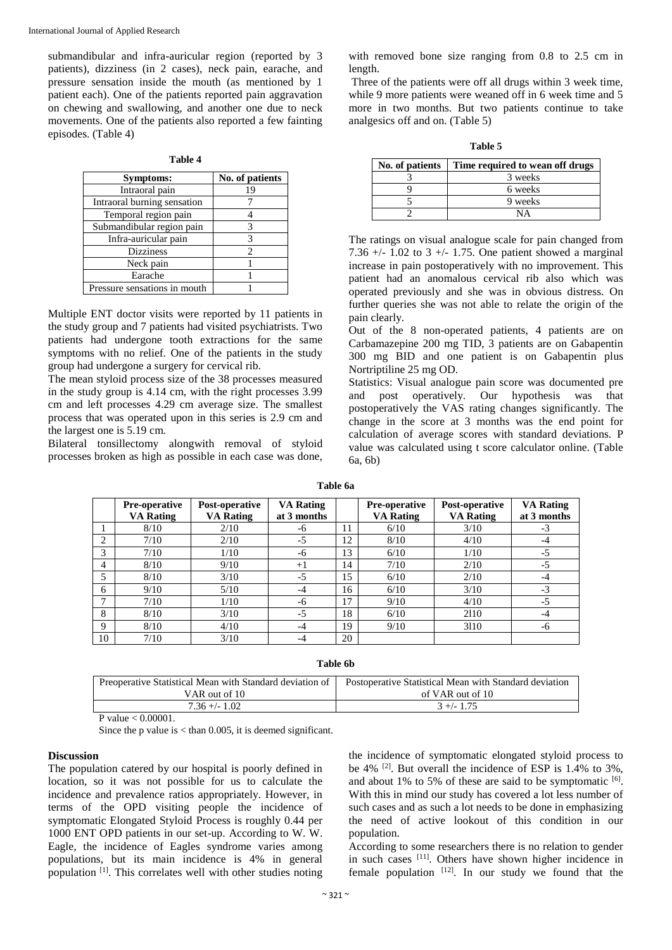submandibular and infra-auricular region (reported by 3 patients), dizziness (in 2 cases), neck pain, earache, and pressure sensation inside the mouth (as mentioned by 1 patient each). One of the patients reported pain aggravation on chewing and swallowing, and another one due to neck movements. One of the patients also reported a few fainting episodes. (Table 4)

| וחו<br>Æ |  |
|----------|--|
|          |  |

| Symptoms:                    | No. of patients             |
|------------------------------|-----------------------------|
| Intraoral pain               | 19                          |
| Intraoral burning sensation  |                             |
| Temporal region pain         |                             |
| Submandibular region pain    | 3                           |
| Infra-auricular pain         | 3                           |
| <b>Dizziness</b>             | $\mathcal{D}_{\mathcal{L}}$ |
| Neck pain                    |                             |
| Earache                      |                             |
| Pressure sensations in mouth |                             |

Multiple ENT doctor visits were reported by 11 patients in the study group and 7 patients had visited psychiatrists. Two patients had undergone tooth extractions for the same symptoms with no relief. One of the patients in the study group had undergone a surgery for cervical rib.

The mean styloid process size of the 38 processes measured in the study group is 4.14 cm, with the right processes 3.99 cm and left processes 4.29 cm average size. The smallest process that was operated upon in this series is 2.9 cm and the largest one is 5.19 cm.

Bilateral tonsillectomy alongwith removal of styloid processes broken as high as possible in each case was done,

with removed bone size ranging from 0.8 to 2.5 cm in length.

Three of the patients were off all drugs within 3 week time, while 9 more patients were weaned off in 6 week time and 5 more in two months. But two patients continue to take analgesics off and on. (Table 5)

| 'able |  |
|-------|--|
|-------|--|

| No. of patients | Time required to wean off drugs |
|-----------------|---------------------------------|
|                 | 3 weeks                         |
|                 | 6 weeks                         |
|                 | 9 weeks                         |
|                 | NΑ                              |

The ratings on visual analogue scale for pain changed from 7.36  $+/- 1.02$  to 3  $+/- 1.75$ . One patient showed a marginal increase in pain postoperatively with no improvement. This patient had an anomalous cervical rib also which was operated previously and she was in obvious distress. On further queries she was not able to relate the origin of the pain clearly.

Out of the 8 non-operated patients, 4 patients are on Carbamazepine 200 mg TID, 3 patients are on Gabapentin 300 mg BID and one patient is on Gabapentin plus Nortriptiline 25 mg OD.

Statistics: Visual analogue pain score was documented pre and post operatively. Our hypothesis was that postoperatively the VAS rating changes significantly. The change in the score at 3 months was the end point for calculation of average scores with standard deviations. P value was calculated using t score calculator online. (Table 6a, 6b)

| Table 6a |  |
|----------|--|
|----------|--|

|    | <b>Pre-operative</b> | Post-operative   | <b>VA Rating</b> |    | <b>Pre-operative</b> | Post-operative   | <b>VA Rating</b> |
|----|----------------------|------------------|------------------|----|----------------------|------------------|------------------|
|    | <b>VA Rating</b>     | <b>VA Rating</b> | at 3 months      |    | <b>VA Rating</b>     | <b>VA Rating</b> | at 3 months      |
|    | 8/10                 | 2/10             | -6               | 11 | 6/10                 | 3/10             | $-3$             |
| C  | 7/10                 | 2/10             | $-5$             | 12 | 8/10                 | 4/10             | -4               |
| 3  | 7/10                 | 1/10             | -6               | 13 | 6/10                 | 1/10             | $-5$             |
| 4  | 8/10                 | 9/10             | $^{+1}$          | 14 | 7/10                 | 2/10             | $-5$             |
| 5  | 8/10                 | 3/10             | $-5$             | 15 | 6/10                 | 2/10             | -4               |
| 6  | 9/10                 | 5/10             | -4               | 16 | 6/10                 | 3/10             | $-3$             |
| ⇁  | 7/10                 | 1/10             | -6               | 17 | 9/10                 | 4/10             | $-5$             |
| 8  | 8/10                 | 3/10             | $-5$             | 18 | 6/10                 | 2110             | -4               |
| 9  | 8/10                 | 4/10             | $-4$             | 19 | 9/10                 | 3110             | -6               |
| 10 | 7/10                 | 3/10             | -4               | 20 |                      |                  |                  |

**Table 6b**

| Preoperative Statistical Mean with Standard deviation of | Postoperative Statistical Mean with Standard deviation |
|----------------------------------------------------------|--------------------------------------------------------|
| VAR out of 10                                            | of VAR out of 10                                       |
| $7.36 + - 1.02$                                          | $3 + (-1.75)$                                          |

P value < 0.00001.

Since the p value is  $<$  than 0.005, it is deemed significant.

#### **Discussion**

The population catered by our hospital is poorly defined in location, so it was not possible for us to calculate the incidence and prevalence ratios appropriately. However, in terms of the OPD visiting people the incidence of symptomatic Elongated Styloid Process is roughly 0.44 per 1000 ENT OPD patients in our set-up. According to W. W. Eagle, the incidence of Eagles syndrome varies among populations, but its main incidence is 4% in general population [1]. This correlates well with other studies noting

the incidence of symptomatic elongated styloid process to be 4% [2]. But overall the incidence of ESP is 1.4% to 3%, and about  $1\%$  to 5% of these are said to be symptomatic  $[6]$ . With this in mind our study has covered a lot less number of such cases and as such a lot needs to be done in emphasizing the need of active lookout of this condition in our population.

According to some researchers there is no relation to gender in such cases [11]. Others have shown higher incidence in female population  $[12]$ . In our study we found that the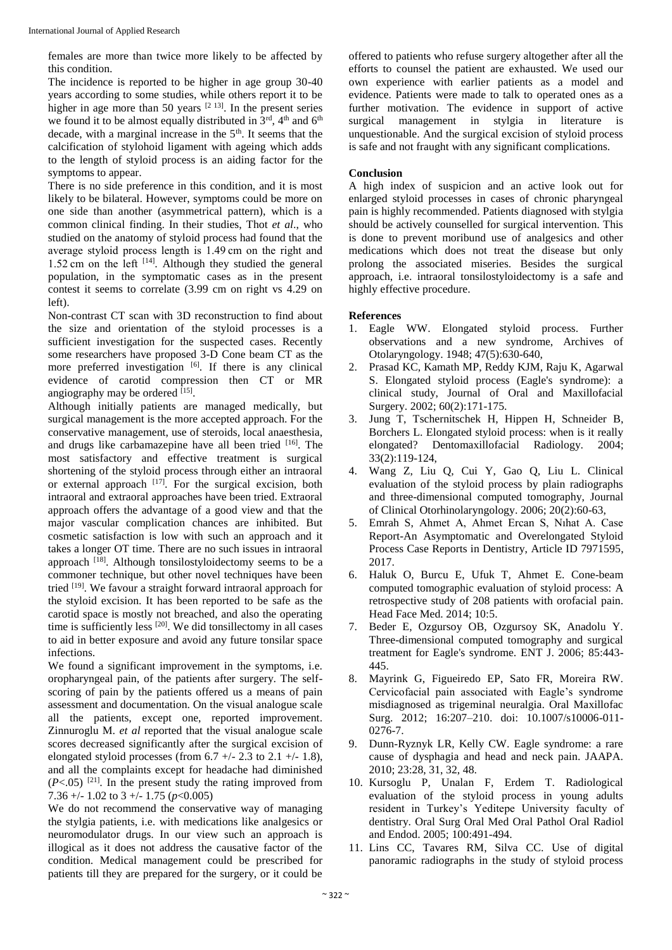females are more than twice more likely to be affected by this condition.

The incidence is reported to be higher in age group 30-40 years according to some studies, while others report it to be higher in age more than 50 years  $[2 13]$ . In the present series we found it to be almost equally distributed in  $3<sup>rd</sup>$ , 4<sup>th</sup> and 6<sup>th</sup> decade, with a marginal increase in the  $5<sup>th</sup>$ . It seems that the calcification of stylohoid ligament with ageing which adds to the length of styloid process is an aiding factor for the symptoms to appear.

There is no side preference in this condition, and it is most likely to be bilateral. However, symptoms could be more on one side than another (asymmetrical pattern), which is a common clinical finding. In their studies, Thot *et al*., who studied on the anatomy of styloid process had found that the average styloid process length is 1.49 cm on the right and 1.52 cm on the left  $[14]$ . Although they studied the general population, in the symptomatic cases as in the present contest it seems to correlate (3.99 cm on right vs 4.29 on left).

Non-contrast CT scan with 3D reconstruction to find about the size and orientation of the styloid processes is a sufficient investigation for the suspected cases. Recently some researchers have proposed 3-D Cone beam CT as the more preferred investigation [6]. If there is any clinical evidence of carotid compression then CT or MR angiography may be ordered [15].

Although initially patients are managed medically, but surgical management is the more accepted approach. For the conservative management, use of steroids, local anaesthesia, and drugs like carbamazepine have all been tried [16]. The most satisfactory and effective treatment is surgical shortening of the styloid process through either an intraoral or external approach  $\left[17\right]$ . For the surgical excision, both intraoral and extraoral approaches have been tried. Extraoral approach offers the advantage of a good view and that the major vascular complication chances are inhibited. But cosmetic satisfaction is low with such an approach and it takes a longer OT time. There are no such issues in intraoral approach <sup>[18]</sup>. Although tonsilostyloidectomy seems to be a commoner technique, but other novel techniques have been tried [19]. We favour a straight forward intraoral approach for the styloid excision. It has been reported to be safe as the carotid space is mostly not breached, and also the operating time is sufficiently less <sup>[20]</sup>. We did tonsillectomy in all cases to aid in better exposure and avoid any future tonsilar space infections.

We found a significant improvement in the symptoms, i.e. oropharyngeal pain, of the patients after surgery. The selfscoring of pain by the patients offered us a means of pain assessment and documentation. On the visual analogue scale all the patients, except one, reported improvement. Zinnuroglu M. *et al* reported that the visual analogue scale scores decreased significantly after the surgical excision of elongated styloid processes (from  $6.7 +/- 2.3$  to  $2.1 +/- 1.8$ ), and all the complaints except for headache had diminished  $(P<.05)$ <sup>[21]</sup>. In the present study the rating improved from 7.36 +/- 1.02 to 3 +/- 1.75 (*p*<0.005)

We do not recommend the conservative way of managing the stylgia patients, i.e. with medications like analgesics or neuromodulator drugs. In our view such an approach is illogical as it does not address the causative factor of the condition. Medical management could be prescribed for patients till they are prepared for the surgery, or it could be

offered to patients who refuse surgery altogether after all the efforts to counsel the patient are exhausted. We used our own experience with earlier patients as a model and evidence. Patients were made to talk to operated ones as a further motivation. The evidence in support of active surgical management in stylgia in literature is unquestionable. And the surgical excision of styloid process is safe and not fraught with any significant complications.

#### **Conclusion**

A high index of suspicion and an active look out for enlarged styloid processes in cases of chronic pharyngeal pain is highly recommended. Patients diagnosed with stylgia should be actively counselled for surgical intervention. This is done to prevent moribund use of analgesics and other medications which does not treat the disease but only prolong the associated miseries. Besides the surgical approach, i.e. intraoral tonsilostyloidectomy is a safe and highly effective procedure.

#### **References**

- 1. Eagle WW. Elongated styloid process. Further observations and a new syndrome, Archives of Otolaryngology. 1948; 47(5):630-640,
- 2. Prasad KC, Kamath MP, Reddy KJM, Raju K, Agarwal S. Elongated styloid process (Eagle's syndrome): a clinical study, Journal of Oral and Maxillofacial Surgery. 2002; 60(2):171-175.
- 3. Jung T, Tschernitschek H, Hippen H, Schneider B, Borchers L. Elongated styloid process: when is it really elongated? Dentomaxillofacial Radiology. 2004; 33(2):119-124,
- 4. Wang Z, Liu Q, Cui Y, Gao Q, Liu L. Clinical evaluation of the styloid process by plain radiographs and three-dimensional computed tomography, Journal of Clinical Otorhinolaryngology. 2006; 20(2):60-63,
- 5. Emrah S, Ahmet A, Ahmet Ercan S, Nıhat A. Case Report-An Asymptomatic and Overelongated Styloid Process Case Reports in Dentistry, Article ID 7971595, 2017.
- 6. Haluk O, Burcu E, Ufuk T, Ahmet E. Cone-beam computed tomographic evaluation of styloid process: A retrospective study of 208 patients with orofacial pain. Head Face Med. 2014; 10:5.
- 7. Beder E, Ozgursoy OB, Ozgursoy SK, Anadolu Y. Three-dimensional computed tomography and surgical treatment for Eagle's syndrome. ENT J. 2006; 85:443- 445.
- 8. Mayrink G, Figueiredo EP, Sato FR, Moreira RW. Cervicofacial pain associated with Eagle's syndrome misdiagnosed as trigeminal neuralgia. Oral Maxillofac Surg. 2012; 16:207–210. doi: 10.1007/s10006-011- 0276-7.
- 9. Dunn-Ryznyk LR, Kelly CW. Eagle syndrome: a rare cause of dysphagia and head and neck pain. JAAPA. 2010; 23:28, 31, 32, 48.
- 10. Kursoglu P, Unalan F, Erdem T. Radiological evaluation of the styloid process in young adults resident in Turkey's Yeditepe University faculty of dentistry. Oral Surg Oral Med Oral Pathol Oral Radiol and Endod. 2005; 100:491-494.
- 11. Lins CC, Tavares RM, Silva CC. Use of digital panoramic radiographs in the study of styloid process